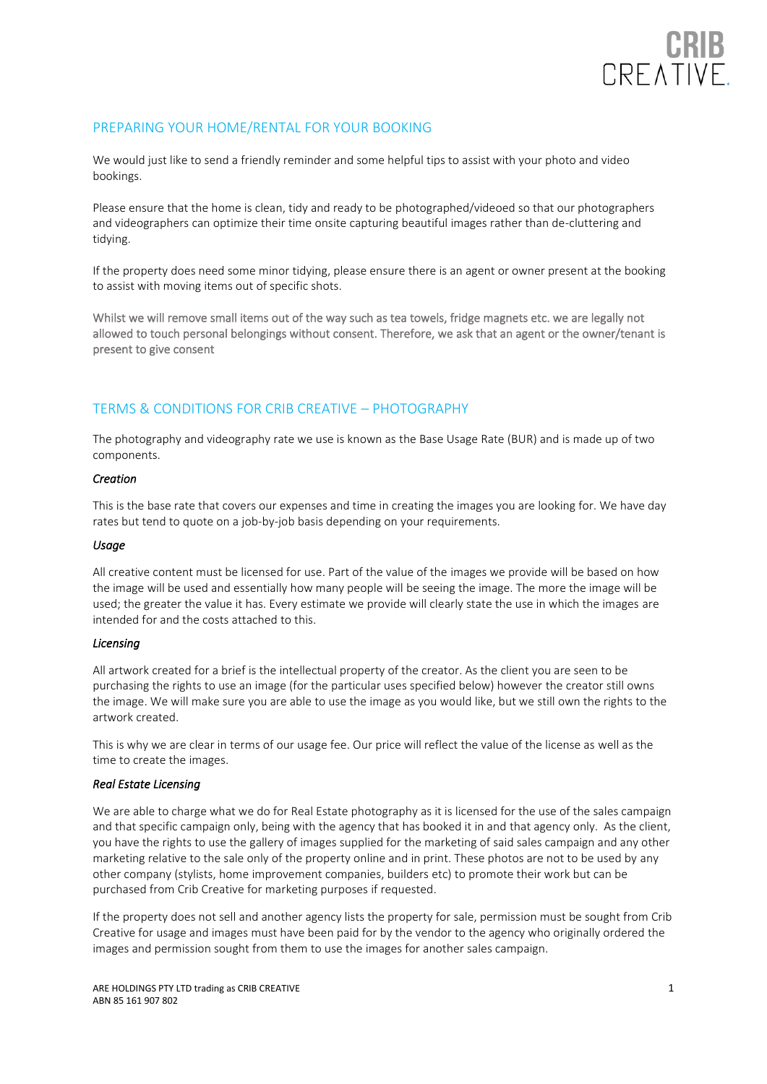

# PREPARING YOUR HOME/RENTAL FOR YOUR BOOKING

We would just like to send a friendly reminder and some helpful tips to assist with your photo and video bookings.

Please ensure that the home is clean, tidy and ready to be photographed/videoed so that our photographers and videographers can optimize their time onsite capturing beautiful images rather than de-cluttering and tidying.

If the property does need some minor tidying, please ensure there is an agent or owner present at the booking to assist with moving items out of specific shots.

Whilst we will remove small items out of the way such as tea towels, fridge magnets etc. we are legally not allowed to touch personal belongings without consent. Therefore, we ask that an agent or the owner/tenant is present to give consent

### TERMS & CONDITIONS FOR CRIB CREATIVE – PHOTOGRAPHY

The photography and videography rate we use is known as the Base Usage Rate (BUR) and is made up of two components.

#### *Creation*

This is the base rate that covers our expenses and time in creating the images you are looking for. We have day rates but tend to quote on a job-by-job basis depending on your requirements.

#### *Usage*

All creative content must be licensed for use. Part of the value of the images we provide will be based on how the image will be used and essentially how many people will be seeing the image. The more the image will be used; the greater the value it has. Every estimate we provide will clearly state the use in which the images are intended for and the costs attached to this.

#### *Licensing*

All artwork created for a brief is the intellectual property of the creator. As the client you are seen to be purchasing the rights to use an image (for the particular uses specified below) however the creator still owns the image. We will make sure you are able to use the image as you would like, but we still own the rights to the artwork created.

This is why we are clear in terms of our usage fee. Our price will reflect the value of the license as well as the time to create the images.

#### *Real Estate Licensing*

We are able to charge what we do for Real Estate photography as it is licensed for the use of the sales campaign and that specific campaign only, being with the agency that has booked it in and that agency only. As the client, you have the rights to use the gallery of images supplied for the marketing of said sales campaign and any other marketing relative to the sale only of the property online and in print. These photos are not to be used by any other company (stylists, home improvement companies, builders etc) to promote their work but can be purchased from Crib Creative for marketing purposes if requested.

If the property does not sell and another agency lists the property for sale, permission must be sought from Crib Creative for usage and images must have been paid for by the vendor to the agency who originally ordered the images and permission sought from them to use the images for another sales campaign.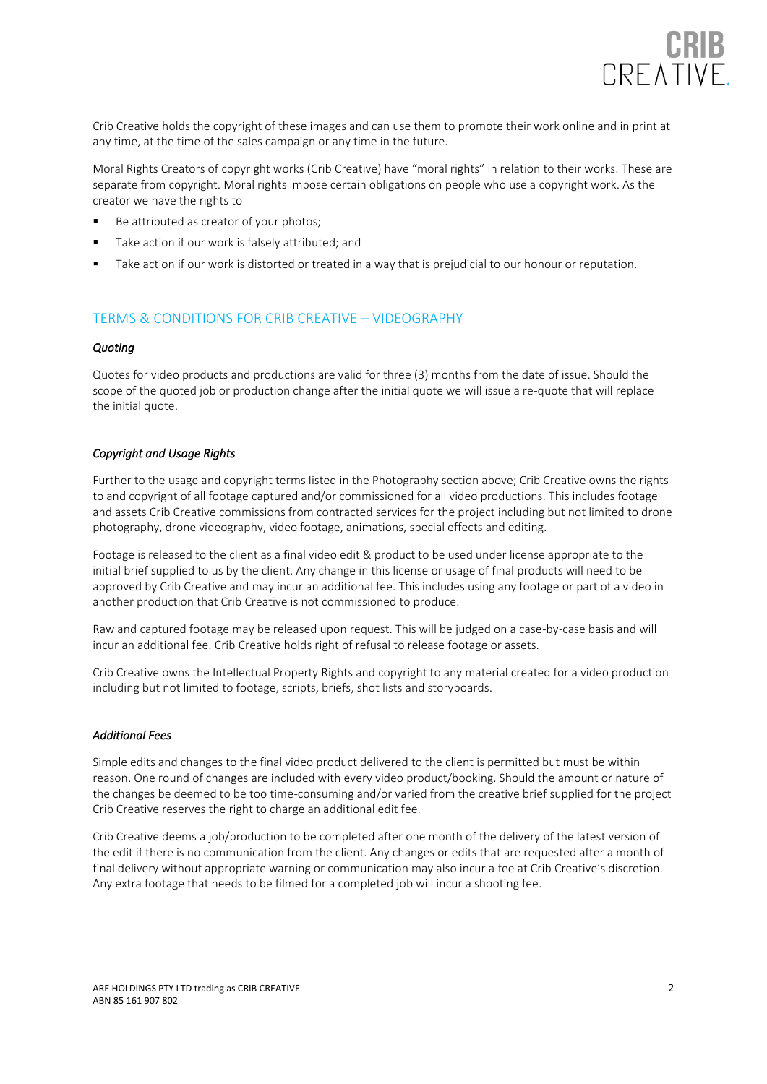

Crib Creative holds the copyright of these images and can use them to promote their work online and in print at any time, at the time of the sales campaign or any time in the future.

Moral Rights Creators of copyright works (Crib Creative) have "moral rights" in relation to their works. These are separate from copyright. Moral rights impose certain obligations on people who use a copyright work. As the creator we have the rights to

- Be attributed as creator of your photos;
- Take action if our work is falsely attributed; and
- Take action if our work is distorted or treated in a way that is prejudicial to our honour or reputation.

## TERMS & CONDITIONS FOR CRIB CREATIVE – VIDEOGRAPHY

#### *Quoting*

Quotes for video products and productions are valid for three (3) months from the date of issue. Should the scope of the quoted job or production change after the initial quote we will issue a re-quote that will replace the initial quote.

### *Copyright and Usage Rights*

Further to the usage and copyright terms listed in the Photography section above; Crib Creative owns the rights to and copyright of all footage captured and/or commissioned for all video productions. This includes footage and assets Crib Creative commissions from contracted services for the project including but not limited to drone photography, drone videography, video footage, animations, special effects and editing.

Footage is released to the client as a final video edit & product to be used under license appropriate to the initial brief supplied to us by the client. Any change in this license or usage of final products will need to be approved by Crib Creative and may incur an additional fee. This includes using any footage or part of a video in another production that Crib Creative is not commissioned to produce.

Raw and captured footage may be released upon request. This will be judged on a case-by-case basis and will incur an additional fee. Crib Creative holds right of refusal to release footage or assets.

Crib Creative owns the Intellectual Property Rights and copyright to any material created for a video production including but not limited to footage, scripts, briefs, shot lists and storyboards.

#### *Additional Fees*

Simple edits and changes to the final video product delivered to the client is permitted but must be within reason. One round of changes are included with every video product/booking. Should the amount or nature of the changes be deemed to be too time-consuming and/or varied from the creative brief supplied for the project Crib Creative reserves the right to charge an additional edit fee.

Crib Creative deems a job/production to be completed after one month of the delivery of the latest version of the edit if there is no communication from the client. Any changes or edits that are requested after a month of final delivery without appropriate warning or communication may also incur a fee at Crib Creative's discretion. Any extra footage that needs to be filmed for a completed job will incur a shooting fee.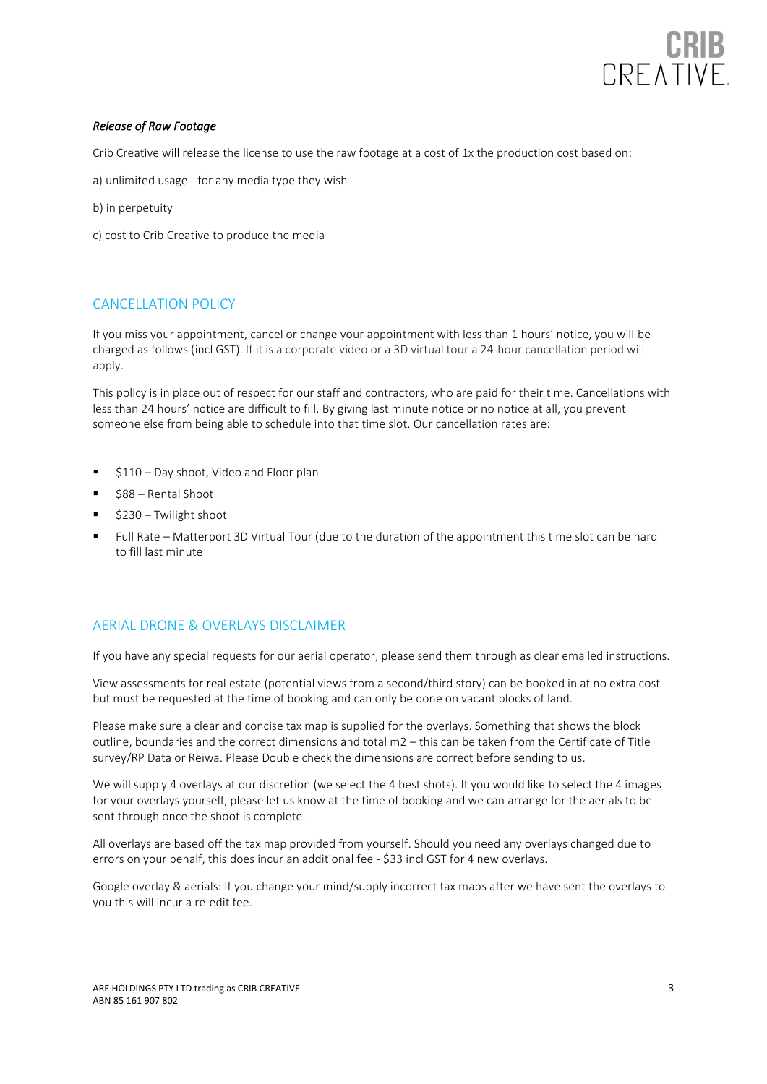

### *Release of Raw Footage*

Crib Creative will release the license to use the raw footage at a cost of 1x the production cost based on:

- a) unlimited usage for any media type they wish
- b) in perpetuity
- c) cost to Crib Creative to produce the media

## CANCELLATION POLICY

If you miss your appointment, cancel or change your appointment with less than 1 hours' notice, you will be charged as follows (incl GST). If it is a corporate video or a 3D virtual tour a 24-hour cancellation period will apply.

This policy is in place out of respect for our staff and contractors, who are paid for their time. Cancellations with less than 24 hours' notice are difficult to fill. By giving last minute notice or no notice at all, you prevent someone else from being able to schedule into that time slot. Our cancellation rates are:

- \$110 Day shoot, Video and Floor plan
- \$88 Rental Shoot
- $$230 Twilight$  shoot
- Full Rate Matterport 3D Virtual Tour (due to the duration of the appointment this time slot can be hard to fill last minute

### AERIAL DRONE & OVERLAYS DISCLAIMER

If you have any special requests for our aerial operator, please send them through as clear emailed instructions.

View assessments for real estate (potential views from a second/third story) can be booked in at no extra cost but must be requested at the time of booking and can only be done on vacant blocks of land.

Please make sure a clear and concise tax map is supplied for the overlays. Something that shows the block outline, boundaries and the correct dimensions and total m2 – this can be taken from the Certificate of Title survey/RP Data or Reiwa. Please Double check the dimensions are correct before sending to us.

We will supply 4 overlays at our discretion (we select the 4 best shots). If you would like to select the 4 images for your overlays yourself, please let us know at the time of booking and we can arrange for the aerials to be sent through once the shoot is complete.

All overlays are based off the tax map provided from yourself. Should you need any overlays changed due to errors on your behalf, this does incur an additional fee - \$33 incl GST for 4 new overlays.

Google overlay & aerials: If you change your mind/supply incorrect tax maps after we have sent the overlays to you this will incur a re-edit fee.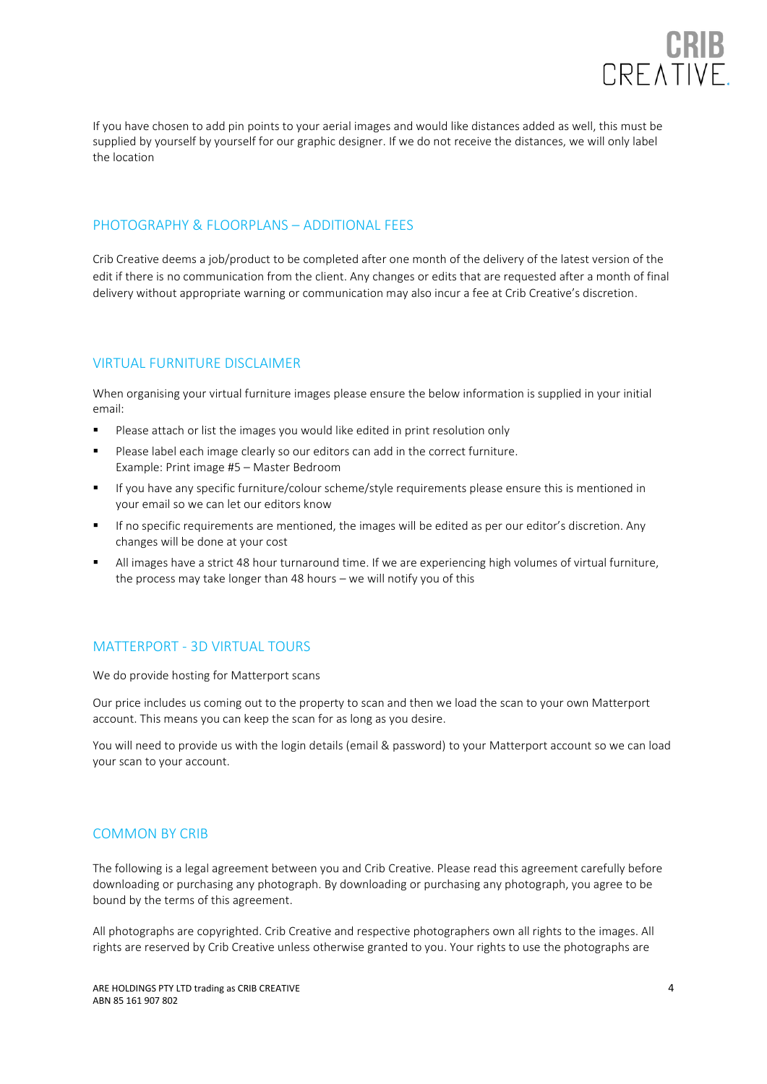

If you have chosen to add pin points to your aerial images and would like distances added as well, this must be supplied by yourself by yourself for our graphic designer. If we do not receive the distances, we will only label the location

### PHOTOGRAPHY & FLOORPLANS – ADDITIONAL FEES

Crib Creative deems a job/product to be completed after one month of the delivery of the latest version of the edit if there is no communication from the client. Any changes or edits that are requested after a month of final delivery without appropriate warning or communication may also incur a fee at Crib Creative's discretion.

## VIRTUAL FURNITURE DISCLAIMER

When organising your virtual furniture images please ensure the below information is supplied in your initial email:

- Please attach or list the images you would like edited in print resolution only
- Please label each image clearly so our editors can add in the correct furniture. Example: Print image #5 – Master Bedroom
- If you have any specific furniture/colour scheme/style requirements please ensure this is mentioned in your email so we can let our editors know
- If no specific requirements are mentioned, the images will be edited as per our editor's discretion. Any changes will be done at your cost
- All images have a strict 48 hour turnaround time. If we are experiencing high volumes of virtual furniture, the process may take longer than 48 hours – we will notify you of this

### MATTERPORT - 3D VIRTUAL TOURS

We do provide hosting for Matterport scans

Our price includes us coming out to the property to scan and then we load the scan to your own Matterport account. This means you can keep the scan for as long as you desire.

You will need to provide us with the login details (email & password) to your Matterport account so we can load your scan to your account.

# COMMON BY CRIB

The following is a legal agreement between you and Crib Creative. Please read this agreement carefully before downloading or purchasing any photograph. By downloading or purchasing any photograph, you agree to be bound by the terms of this agreement.

All photographs are copyrighted. Crib Creative and respective photographers own all rights to the images. All rights are reserved by Crib Creative unless otherwise granted to you. Your rights to use the photographs are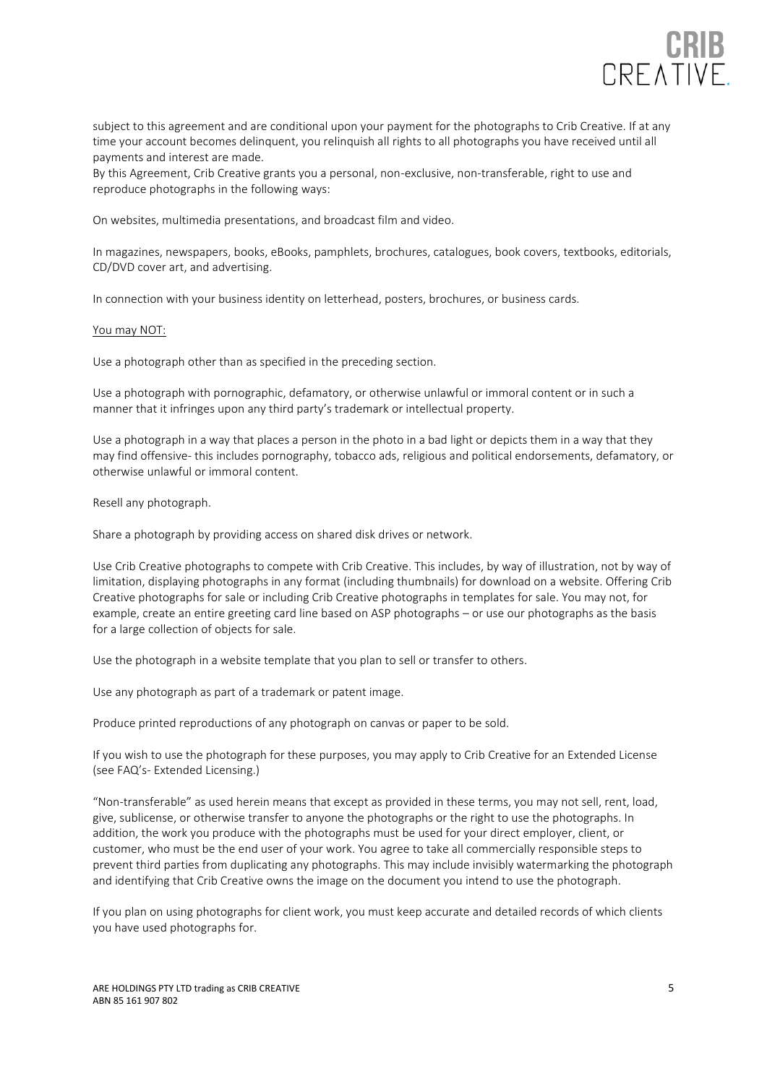

subject to this agreement and are conditional upon your payment for the photographs to Crib Creative. If at any time your account becomes delinquent, you relinquish all rights to all photographs you have received until all payments and interest are made.

By this Agreement, Crib Creative grants you a personal, non-exclusive, non-transferable, right to use and reproduce photographs in the following ways:

On websites, multimedia presentations, and broadcast film and video.

In magazines, newspapers, books, eBooks, pamphlets, brochures, catalogues, book covers, textbooks, editorials, CD/DVD cover art, and advertising.

In connection with your business identity on letterhead, posters, brochures, or business cards.

#### You may NOT:

Use a photograph other than as specified in the preceding section.

Use a photograph with pornographic, defamatory, or otherwise unlawful or immoral content or in such a manner that it infringes upon any third party's trademark or intellectual property.

Use a photograph in a way that places a person in the photo in a bad light or depicts them in a way that they may find offensive- this includes pornography, tobacco ads, religious and political endorsements, defamatory, or otherwise unlawful or immoral content.

Resell any photograph.

Share a photograph by providing access on shared disk drives or network.

Use Crib Creative photographs to compete with Crib Creative. This includes, by way of illustration, not by way of limitation, displaying photographs in any format (including thumbnails) for download on a website. Offering Crib Creative photographs for sale or including Crib Creative photographs in templates for sale. You may not, for example, create an entire greeting card line based on ASP photographs – or use our photographs as the basis for a large collection of objects for sale.

Use the photograph in a website template that you plan to sell or transfer to others.

Use any photograph as part of a trademark or patent image.

Produce printed reproductions of any photograph on canvas or paper to be sold.

If you wish to use the photograph for these purposes, you may apply to Crib Creative for an Extended License (see FAQ's- Extended Licensing.)

"Non-transferable" as used herein means that except as provided in these terms, you may not sell, rent, load, give, sublicense, or otherwise transfer to anyone the photographs or the right to use the photographs. In addition, the work you produce with the photographs must be used for your direct employer, client, or customer, who must be the end user of your work. You agree to take all commercially responsible steps to prevent third parties from duplicating any photographs. This may include invisibly watermarking the photograph and identifying that Crib Creative owns the image on the document you intend to use the photograph.

If you plan on using photographs for client work, you must keep accurate and detailed records of which clients you have used photographs for.